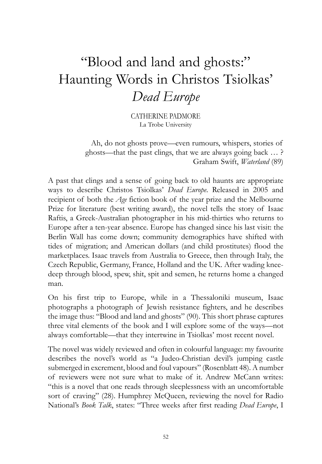## "Blood and land and ghosts:" Haunting Words in Christos Tsiolkas' *Dead Europe*

CATHERINE PADMORE La Trobe University

Ah, do not ghosts prove—even rumours, whispers, stories of ghosts—that the past clings, that we are always going back … ? Graham Swift, *Waterland* (89)

A past that clings and a sense of going back to old haunts are appropriate ways to describe Christos Tsiolkas' *Dead Europe*. Released in 2005 and recipient of both the *Age* fiction book of the year prize and the Melbourne Prize for literature (best writing award), the novel tells the story of Isaac Raftis, a Greek-Australian photographer in his mid-thirties who returns to Europe after a ten-year absence. Europe has changed since his last visit: the Berlin Wall has come down; community demographics have shifted with tides of migration; and American dollars (and child prostitutes) flood the marketplaces. Isaac travels from Australia to Greece, then through Italy, the Czech Republic, Germany, France, Holland and the UK. After wading kneedeep through blood, spew, shit, spit and semen, he returns home a changed man.

On his first trip to Europe, while in a Thessaloniki museum, Isaac photographs a photograph of Jewish resistance fighters, and he describes the image thus: "Blood and land and ghosts" (90). This short phrase captures three vital elements of the book and I will explore some of the ways—not always comfortable—that they intertwine in Tsiolkas' most recent novel.

The novel was widely reviewed and often in colourful language: my favourite describes the novel's world as "a Judeo-Christian devil's jumping castle submerged in excrement, blood and foul vapours" (Rosenblatt 48). A number of reviewers were not sure what to make of it. Andrew McCann writes: "this is a novel that one reads through sleeplessness with an uncomfortable sort of craving" (28). Humphrey McQueen, reviewing the novel for Radio National's *Book Talk*, states: "Three weeks after first reading *Dead Europe*, I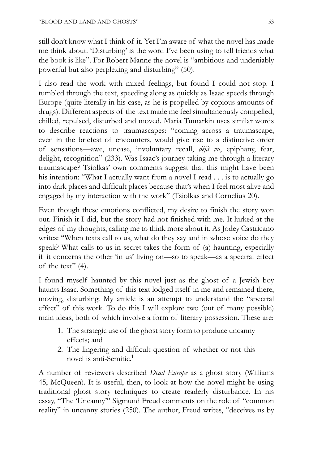still don't know what I think of it. Yet I'm aware of what the novel has made me think about. 'Disturbing' is the word I've been using to tell friends what the book is like". For Robert Manne the novel is "ambitious and undeniably powerful but also perplexing and disturbing" (50).

I also read the work with mixed feelings, but found I could not stop. I tumbled through the text, speeding along as quickly as Isaac speeds through Europe (quite literally in his case, as he is propelled by copious amounts of drugs). Different aspects of the text made me feel simultaneously compelled, chilled, repulsed, disturbed and moved. Maria Tumarkin uses similar words to describe reactions to traumascapes: "coming across a traumascape, even in the briefest of encounters, would give rise to a distinctive order of sensations—awe, unease, involuntary recall, *déjà vu*, epiphany, fear, delight, recognition" (233). Was Isaac's journey taking me through a literary traumascape? Tsiolkas' own comments suggest that this might have been his intention: "What I actually want from a novel I read . . . is to actually go into dark places and difficult places because that's when I feel most alive and engaged by my interaction with the work" (Tsiolkas and Cornelius 20).

Even though these emotions conflicted, my desire to finish the story won out. Finish it I did, but the story had not finished with me. It lurked at the edges of my thoughts, calling me to think more about it. As Jodey Castricano writes: "When texts call to us, what do they say and in whose voice do they speak? What calls to us in secret takes the form of (a) haunting, especially if it concerns the other 'in us' living on—so to speak—as a spectral effect of the text"  $(4)$ .

I found myself haunted by this novel just as the ghost of a Jewish boy haunts Isaac. Something of this text lodged itself in me and remained there, moving, disturbing. My article is an attempt to understand the "spectral effect" of this work. To do this I will explore two (out of many possible) main ideas, both of which involve a form of literary possession. These are:

- 1. The strategic use of the ghost story form to produce uncanny effects; and
- 2. The lingering and difficult question of whether or not this novel is anti-Semitic.1

A number of reviewers described *Dead Europe* as a ghost story (Williams 45, McQueen). It is useful, then, to look at how the novel might be using traditional ghost story techniques to create readerly disturbance. In his essay, "The 'Uncanny'" Sigmund Freud comments on the role of "common reality" in uncanny stories (250). The author, Freud writes, "deceives us by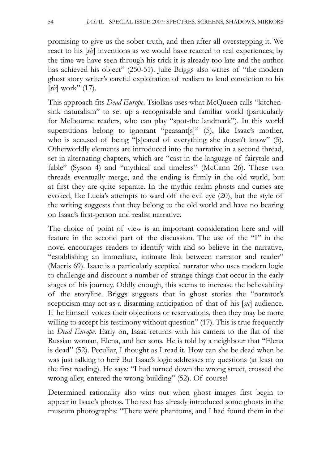promising to give us the sober truth, and then after all overstepping it. We react to his [*sic*] inventions as we would have reacted to real experiences; by the time we have seen through his trick it is already too late and the author has achieved his object" (250-51). Julie Briggs also writes of "the modern ghost story writer's careful exploitation of realism to lend conviction to his [*sic*] work" (17).

This approach fits *Dead Europe*. Tsiolkas uses what McQueen calls "kitchensink naturalism" to set up a recognisable and familiar world (particularly for Melbourne readers, who can play "spot-the landmark"). In this world superstitions belong to ignorant "peasant[s]" (5), like Isaac's mother, who is accused of being "[s]cared of everything she doesn't know" (5). Otherworldly elements are introduced into the narrative in a second thread, set in alternating chapters, which are "cast in the language of fairytale and fable" (Syson 4) and "mythical and timeless" (McCann 26). These two threads eventually merge, and the ending is firmly in the old world, but at first they are quite separate. In the mythic realm ghosts and curses are evoked, like Lucia's attempts to ward off the evil eye (20), but the style of the writing suggests that they belong to the old world and have no bearing on Isaac's first-person and realist narrative.

The choice of point of view is an important consideration here and will feature in the second part of the discussion. The use of the "I" in the novel encourages readers to identify with and so believe in the narrative, "establishing an immediate, intimate link between narrator and reader" (Macris 69). Isaac is a particularly sceptical narrator who uses modern logic to challenge and discount a number of strange things that occur in the early stages of his journey. Oddly enough, this seems to increase the believability of the storyline. Briggs suggests that in ghost stories the "narrator's scepticism may act as a disarming anticipation of that of his [*sic*] audience. If he himself voices their objections or reservations, then they may be more willing to accept his testimony without question" (17). This is true frequently in *Dead Europe*. Early on, Isaac returns with his camera to the flat of the Russian woman, Elena, and her sons. He is told by a neighbour that "Elena is dead" (52). Peculiar, I thought as I read it. How can she be dead when he was just talking to her? But Isaac's logic addresses my questions (at least on the first reading). He says: "I had turned down the wrong street, crossed the wrong alley, entered the wrong building" (52). Of course!

Determined rationality also wins out when ghost images first begin to appear in Isaac's photos. The text has already introduced some ghosts in the museum photographs: "There were phantoms, and I had found them in the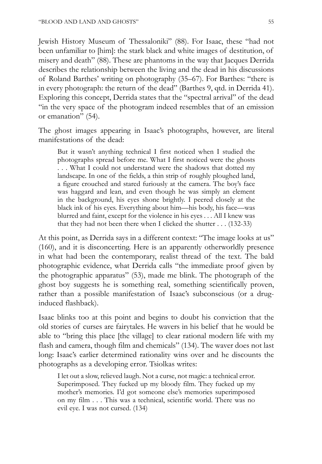Jewish History Museum of Thessaloniki" (88). For Isaac, these "had not been unfamiliar to [him]: the stark black and white images of destitution, of misery and death" (88). These are phantoms in the way that Jacques Derrida describes the relationship between the living and the dead in his discussions of Roland Barthes' writing on photography (35–67). For Barthes: "there is in every photograph: the return of the dead" (Barthes 9, qtd. in Derrida 41). Exploring this concept, Derrida states that the "spectral arrival" of the dead "in the very space of the photogram indeed resembles that of an emission or emanation" (54).

The ghost images appearing in Isaac's photographs, however, are literal manifestations of the dead:

But it wasn't anything technical I first noticed when I studied the photographs spread before me. What I first noticed were the ghosts . . . What I could not understand were the shadows that dotted my landscape. In one of the fields, a thin strip of roughly ploughed land, a figure crouched and stared furiously at the camera. The boy's face was haggard and lean, and even though he was simply an element in the background, his eyes shone brightly. I peered closely at the black ink of his eyes. Everything about him—his body, his face—was blurred and faint, except for the violence in his eyes . . . All I knew was that they had not been there when I clicked the shutter . . . (132-33)

At this point, as Derrida says in a different context: "The image looks at us" (160), and it is disconcerting. Here is an apparently otherworldly presence in what had been the contemporary, realist thread of the text. The bald photographic evidence, what Derrida calls "the immediate proof given by the photographic apparatus" (53), made me blink. The photograph of the ghost boy suggests he is something real, something scientifically proven, rather than a possible manifestation of Isaac's subconscious (or a druginduced flashback).

Isaac blinks too at this point and begins to doubt his conviction that the old stories of curses are fairytales. He wavers in his belief that he would be able to "bring this place [the village] to clear rational modern life with my flash and camera, though film and chemicals" (134). The waver does not last long: Isaac's earlier determined rationality wins over and he discounts the photographs as a developing error. Tsiolkas writes:

I let out a slow, relieved laugh. Not a curse, not magic: a technical error. Superimposed. They fucked up my bloody film. They fucked up my mother's memories. I'd got someone else's memories superimposed on my film . . . This was a technical, scientific world. There was no evil eye. I was not cursed. (134)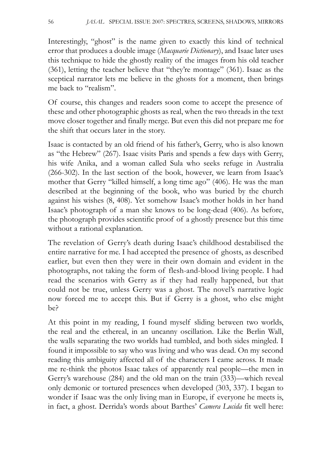Interestingly, "ghost" is the name given to exactly this kind of technical error that produces a double image (*Macquarie Dictionary*), and Isaac later uses this technique to hide the ghostly reality of the images from his old teacher (361), letting the teacher believe that "they're montage" (361). Isaac as the sceptical narrator lets me believe in the ghosts for a moment, then brings me back to "realism".

Of course, this changes and readers soon come to accept the presence of these and other photographic ghosts as real, when the two threads in the text move closer together and finally merge. But even this did not prepare me for the shift that occurs later in the story.

Isaac is contacted by an old friend of his father's, Gerry, who is also known as "the Hebrew" (267). Isaac visits Paris and spends a few days with Gerry, his wife Anika, and a woman called Sula who seeks refuge in Australia (266-302). In the last section of the book, however, we learn from Isaac's mother that Gerry "killed himself, a long time ago" (406). He was the man described at the beginning of the book, who was buried by the church against his wishes (8, 408). Yet somehow Isaac's mother holds in her hand Isaac's photograph of a man she knows to be long-dead (406). As before, the photograph provides scientific proof of a ghostly presence but this time without a rational explanation.

The revelation of Gerry's death during Isaac's childhood destabilised the entire narrative for me. I had accepted the presence of ghosts, as described earlier, but even then they were in their own domain and evident in the photographs, not taking the form of flesh-and-blood living people. I had read the scenarios with Gerry as if they had really happened, but that could not be true, unless Gerry was a ghost. The novel's narrative logic now forced me to accept this. But if Gerry is a ghost, who else might be?

At this point in my reading, I found myself sliding between two worlds, the real and the ethereal, in an uncanny oscillation. Like the Berlin Wall, the walls separating the two worlds had tumbled, and both sides mingled. I found it impossible to say who was living and who was dead. On my second reading this ambiguity affected all of the characters I came across. It made me re-think the photos Isaac takes of apparently real people—the men in Gerry's warehouse (284) and the old man on the train (333)—which reveal only demonic or tortured presences when developed (303, 337). I began to wonder if Isaac was the only living man in Europe, if everyone he meets is, in fact, a ghost. Derrida's words about Barthes' *Camera Lucida* fit well here: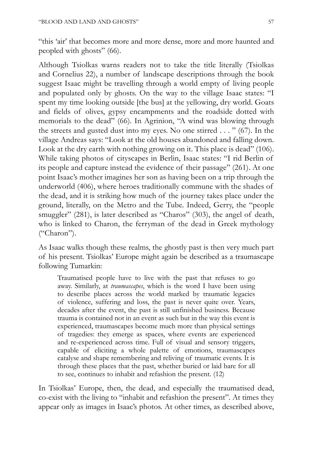"this 'air' that becomes more and more dense, more and more haunted and peopled with ghosts" (66).

Although Tsiolkas warns readers not to take the title literally (Tsiolkas and Cornelius 22), a number of landscape descriptions through the book suggest Isaac might be travelling through a world empty of living people and populated only by ghosts. On the way to the village Isaac states: "I spent my time looking outside [the bus] at the yellowing, dry world. Goats and fields of olives, gypsy encampments and the roadside dotted with memorials to the dead" (66). In Agrinion, "A wind was blowing through the streets and gusted dust into my eyes. No one stirred  $\dots$  " (67). In the village Andreas says: "Look at the old houses abandoned and falling down. Look at the dry earth with nothing growing on it. This place is dead" (106). While taking photos of cityscapes in Berlin, Isaac states: "I rid Berlin of its people and capture instead the evidence of their passage" (261). At one point Isaac's mother imagines her son as having been on a trip through the underworld (406), where heroes traditionally commune with the shades of the dead, and it is striking how much of the journey takes place under the ground, literally, on the Metro and the Tube. Indeed, Gerry, the "people smuggler" (281), is later described as "Charos" (303), the angel of death, who is linked to Charon, the ferryman of the dead in Greek mythology ("Charon").

As Isaac walks though these realms, the ghostly past is then very much part of his present. Tsiolkas' Europe might again be described as a traumascape following Tumarkin:

Traumatised people have to live with the past that refuses to go away. Similarly, at *traumascapes*, which is the word I have been using to describe places across the world marked by traumatic legacies of violence, suffering and loss, the past is never quite over. Years, decades after the event, the past is still unfinished business. Because trauma is contained not in an event as such but in the way this event is experienced, traumascapes become much more than physical settings of tragedies: they emerge as spaces, where events are experienced and re-experienced across time. Full of visual and sensory triggers, capable of eliciting a whole palette of emotions, traumascapes catalyse and shape remembering and reliving of traumatic events. It is through these places that the past, whether buried or laid bare for all to see, continues to inhabit and refashion the present. (12)

In Tsiolkas' Europe, then, the dead, and especially the traumatised dead, co-exist with the living to "inhabit and refashion the present". At times they appear only as images in Isaac's photos. At other times, as described above,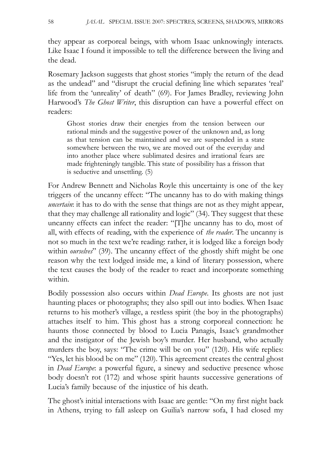they appear as corporeal beings, with whom Isaac unknowingly interacts. Like Isaac I found it impossible to tell the difference between the living and the dead.

Rosemary Jackson suggests that ghost stories "imply the return of the dead as the undead" and "disrupt the crucial defining line which separates 'real' life from the 'unreality' of death" (69). For James Bradley, reviewing John Harwood's *The Ghost Writer*, this disruption can have a powerful effect on readers:

Ghost stories draw their energies from the tension between our rational minds and the suggestive power of the unknown and, as long as that tension can be maintained and we are suspended in a state somewhere between the two, we are moved out of the everyday and into another place where sublimated desires and irrational fears are made frighteningly tangible. This state of possibility has a frisson that is seductive and unsettling. (5)

For Andrew Bennett and Nicholas Royle this uncertainty is one of the key triggers of the uncanny effect: "The uncanny has to do with making things *uncertain*: it has to do with the sense that things are not as they might appear, that they may challenge all rationality and logic" (34). They suggest that these uncanny effects can infect the reader: "[T]he uncanny has to do, most of all, with effects of reading, with the experience of *the reader*. The uncanny is not so much in the text we're reading: rather, it is lodged like a foreign body within *ourselves*" (39). The uncanny effect of the ghostly shift might be one reason why the text lodged inside me, a kind of literary possession, where the text causes the body of the reader to react and incorporate something within.

Bodily possession also occurs within *Dead Europe*. Its ghosts are not just haunting places or photographs; they also spill out into bodies. When Isaac returns to his mother's village, a restless spirit (the boy in the photographs) attaches itself to him. This ghost has a strong corporeal connection: he haunts those connected by blood to Lucia Panagis, Isaac's grandmother and the instigator of the Jewish boy's murder. Her husband, who actually murders the boy, says: "The crime will be on you" (120). His wife replies: "Yes, let his blood be on me" (120). This agreement creates the central ghost in *Dead Europe*: a powerful figure, a sinewy and seductive presence whose body doesn't rot (172) and whose spirit haunts successive generations of Lucia's family because of the injustice of his death.

The ghost's initial interactions with Isaac are gentle: "On my first night back in Athens, trying to fall asleep on Guilia's narrow sofa, I had closed my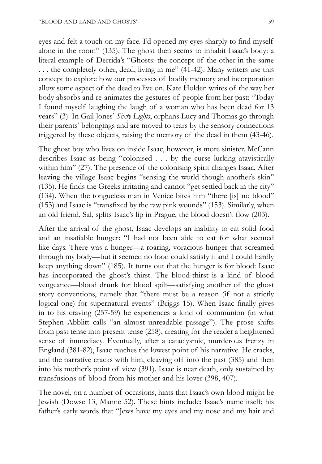eyes and felt a touch on my face. I'd opened my eyes sharply to find myself alone in the room" (135). The ghost then seems to inhabit Isaac's body: a literal example of Derrida's "Ghosts: the concept of the other in the same . . . the completely other, dead, living in me" (41-42). Many writers use this concept to explore how our processes of bodily memory and incorporation allow some aspect of the dead to live on. Kate Holden writes of the way her body absorbs and re-animates the gestures of people from her past: "Today I found myself laughing the laugh of a woman who has been dead for 13 years" (3). In Gail Jones' *Sixty Lights*, orphans Lucy and Thomas go through their parents' belongings and are moved to tears by the sensory connections triggered by these objects, raising the memory of the dead in them (43-46).

The ghost boy who lives on inside Isaac, however, is more sinister. McCann describes Isaac as being "colonised . . . by the curse lurking atavistically within him" (27). The presence of the colonising spirit changes Isaac. After leaving the village Isaac begins "sensing the world though another's skin" (135). He finds the Greeks irritating and cannot "get settled back in the city" (134). When the tongueless man in Venice bites him "there [is] no blood" (153) and Isaac is "transfixed by the raw pink wounds" (153). Similarly, when an old friend, Sal, splits Isaac's lip in Prague, the blood doesn't flow (203).

After the arrival of the ghost, Isaac develops an inability to eat solid food and an insatiable hunger: "I had not been able to eat for what seemed like days. There was a hunger—a roaring, voracious hunger that screamed through my body—but it seemed no food could satisfy it and I could hardly keep anything down" (185). It turns out that the hunger is for blood: Isaac has incorporated the ghost's thirst. The blood-thirst is a kind of blood vengeance—blood drunk for blood spilt—satisfying another of the ghost story conventions, namely that "there must be a reason (if not a strictly logical one) for supernatural events" (Briggs 15). When Isaac finally gives in to his craving (257-59) he experiences a kind of communion (in what Stephen Abblitt calls "an almost unreadable passage"). The prose shifts from past tense into present tense (258), creating for the reader a heightened sense of immediacy. Eventually, after a cataclysmic, murderous frenzy in England (381-82), Isaac reaches the lowest point of his narrative. He cracks, and the narrative cracks with him, cleaving off into the past (385) and then into his mother's point of view (391). Isaac is near death, only sustained by transfusions of blood from his mother and his lover (398, 407).

The novel, on a number of occasions, hints that Isaac's own blood might be Jewish (Dowse 13, Manne 52). These hints include: Isaac's name itself; his father's early words that "Jews have my eyes and my nose and my hair and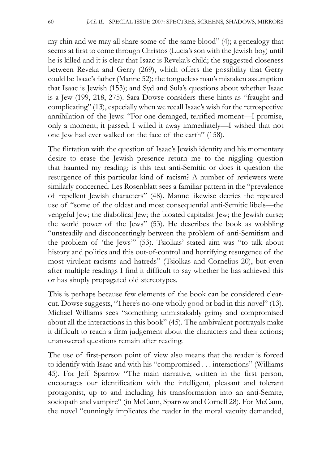my chin and we may all share some of the same blood" (4); a genealogy that seems at first to come through Christos (Lucia's son with the Jewish boy) until he is killed and it is clear that Isaac is Reveka's child; the suggested closeness between Reveka and Gerry (269), which offers the possibility that Gerry could be Isaac's father (Manne 52); the tongueless man's mistaken assumption that Isaac is Jewish (153); and Syd and Sula's questions about whether Isaac is a Jew (199, 218, 275). Sara Dowse considers these hints as "fraught and complicating" (13), especially when we recall Isaac's wish for the retrospective annihilation of the Jews: "For one deranged, terrified moment—I promise, only a moment; it passed, I willed it away immediately—I wished that not one Jew had ever walked on the face of the earth" (158).

The flirtation with the question of Isaac's Jewish identity and his momentary desire to erase the Jewish presence return me to the niggling question that haunted my reading: is this text anti-Semitic or does it question the resurgence of this particular kind of racism? A number of reviewers were similarly concerned. Les Rosenblatt sees a familiar pattern in the "prevalence of repellent Jewish characters" (48). Manne likewise decries the repeated use of "some of the oldest and most consequential anti-Semitic libels—the vengeful Jew; the diabolical Jew; the bloated capitalist Jew; the Jewish curse; the world power of the Jews" (53). He describes the book as wobbling "unsteadily and disconcertingly between the problem of anti-Semitism and the problem of 'the Jews'" (53). Tsiolkas' stated aim was "to talk about history and politics and this out-of-control and horrifying resurgence of the most virulent racisms and hatreds" (Tsiolkas and Cornelius 20), but even after multiple readings I find it difficult to say whether he has achieved this or has simply propagated old stereotypes.

This is perhaps because few elements of the book can be considered clearcut. Dowse suggests, "There's no-one wholly good or bad in this novel" (13). Michael Williams sees "something unmistakably grimy and compromised about all the interactions in this book" (45). The ambivalent portrayals make it difficult to reach a firm judgement about the characters and their actions; unanswered questions remain after reading.

The use of first-person point of view also means that the reader is forced to identify with Isaac and with his "compromised . . . interactions" (Williams 45). For Jeff Sparrow "The main narrative, written in the first person, encourages our identification with the intelligent, pleasant and tolerant protagonist, up to and including his transformation into an anti-Semite, sociopath and vampire" (in McCann, Sparrow and Cornell 28). For McCann, the novel "cunningly implicates the reader in the moral vacuity demanded,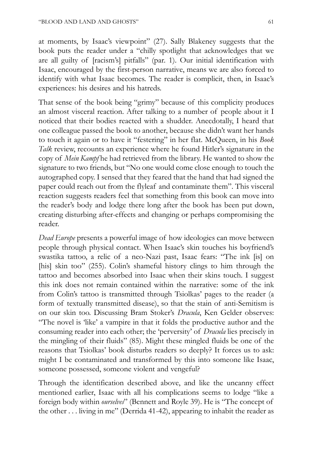at moments, by Isaac's viewpoint" (27). Sally Blakeney suggests that the book puts the reader under a "chilly spotlight that acknowledges that we are all guilty of [racism's] pitfalls" (par. 1). Our initial identification with Isaac, encouraged by the first-person narrative, means we are also forced to identify with what Isaac becomes. The reader is complicit, then, in Isaac's experiences: his desires and his hatreds.

That sense of the book being "grimy" because of this complicity produces an almost visceral reaction. After talking to a number of people about it I noticed that their bodies reacted with a shudder. Anecdotally, I heard that one colleague passed the book to another, because she didn't want her hands to touch it again or to have it "festering" in her flat. McQueen, in his *Book Talk* review, recounts an experience where he found Hitler's signature in the copy of *Mein Kampf* he had retrieved from the library. He wanted to show the signature to two friends, but "No one would come close enough to touch the autographed copy. I sensed that they feared that the hand that had signed the paper could reach out from the flyleaf and contaminate them". This visceral reaction suggests readers feel that something from this book can move into the reader's body and lodge there long after the book has been put down, creating disturbing after-effects and changing or perhaps compromising the reader.

*Dead Europe* presents a powerful image of how ideologies can move between people through physical contact. When Isaac's skin touches his boyfriend's swastika tattoo, a relic of a neo-Nazi past, Isaac fears: "The ink [is] on [his] skin too" (255). Colin's shameful history clings to him through the tattoo and becomes absorbed into Isaac when their skins touch. I suggest this ink does not remain contained within the narrative: some of the ink from Colin's tattoo is transmitted through Tsiolkas' pages to the reader (a form of textually transmitted disease), so that the stain of anti-Semitism is on our skin too. Discussing Bram Stoker's *Dracula*, Ken Gelder observes: "The novel is 'like' a vampire in that it folds the productive author and the consuming reader into each other; the 'perversity' of *Dracula* lies precisely in the mingling of their fluids" (85). Might these mingled fluids be one of the reasons that Tsiolkas' book disturbs readers so deeply? It forces us to ask: might I be contaminated and transformed by this into someone like Isaac, someone possessed, someone violent and vengeful?

Through the identification described above, and like the uncanny effect mentioned earlier, Isaac with all his complications seems to lodge "like a foreign body within *ourselves*" (Bennett and Royle 39). He is "The concept of the other . . . living in me" (Derrida 41-42), appearing to inhabit the reader as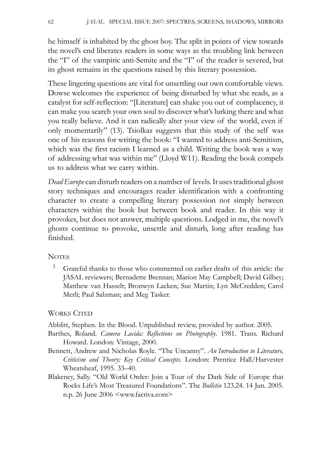he himself is inhabited by the ghost boy. The split in points of view towards the novel's end liberates readers in some ways as the troubling link between the "I" of the vampiric anti-Semite and the "I" of the reader is severed, but its ghost remains in the questions raised by this literary possession.

These lingering questions are vital for unsettling our own comfortable views. Dowse welcomes the experience of being disturbed by what she reads, as a catalyst for self-reflection: "[Literature] can shake you out of complacency, it can make you search your own soul to discover what's lurking there and what you really believe. And it can radically alter your view of the world, even if only momentarily" (13). Tsiolkas suggests that this study of the self was one of his reasons for writing the book: "I wanted to address anti-Semitism, which was the first racism I learned as a child. Writing the book was a way of addressing what was within me" (Lloyd W11). Reading the book compels us to address what we carry within.

*Dead Europe* can disturb readers on a number of levels. It uses traditional ghost story techniques and encourages reader identification with a confronting character to create a compelling literary possession not simply between characters within the book but between book and reader. In this way it provokes, but does not answer, multiple questions. Lodged in me, the novel's ghosts continue to provoke, unsettle and disturb, long after reading has finished.

## **NOTES**

1 Grateful thanks to those who commented on earlier drafts of this article: the JASAL reviewers; Bernadette Brennan; Marion May Campbell; David Gilbey; Matthew van Hasselt; Bronwyn Lacken; Sue Martin; Lyn McCredden; Carol Merli; Paul Salzman; and Meg Tasker.

## WORKS CITED

Abblitt, Stephen. In the Blood. Unpublished review, provided by author. 2005.

- Barthes, Roland. *Camera Lucida: Reflections on Photography*. 1981. Trans. Richard Howard. London: Vintage, 2000.
- Bennett, Andrew and Nicholas Royle. "The Uncanny". *An Introduction to Literature, Criticism and Theory: Key Critical Concepts*. London: Prentice Hall/Harvester Wheatsheaf, 1995. 33–40.
- Blakeney, Sally. "Old World Order: Join a Tour of the Dark Side of Europe that Rocks Life's Most Treasured Foundations". The *Bulletin* 123.24. 14 Jun. 2005. n.p. 26 June 2006 <www.factiva.com>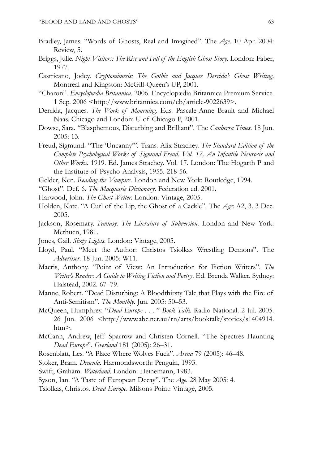- Bradley, James. "Words of Ghosts, Real and Imagined". The *Age*. 10 Apr. 2004: Review, 5.
- Briggs, Julie. *Night Visitors: The Rise and Fall of the English Ghost Story*. London: Faber, 1977.
- Castricano, Jodey. *Cryptomimesis: The Gothic and Jacques Derrida's Ghost Writing*. Montreal and Kingston: McGill-Queen's UP, 2001.
- "Charon". *Encyclopædia Britannica*. 2006. Encyclopædia Britannica Premium Service. 1 Sep. 2006 <http://www.britannica.com/eb/article-9022639>.
- Derrida, Jacques. *The Work of Mourning*. Eds. Pascale-Anne Brault and Michael Naas. Chicago and London: U of Chicago P, 2001.
- Dowse, Sara. "Blasphemous, Disturbing and Brilliant". The *Canberra Times*. 18 Jun. 2005: 13.
- Freud, Sigmund. "The 'Uncanny'". Trans. Alix Strachey. *The Standard Edition of the Complete Psychological Works of Sigmund Freud. Vol. 17, An Infantile Neurosis and Other Works*. 1919. Ed. James Strachey. Vol. 17. London: The Hogarth P and the Institute of Psycho-Analysis, 1955. 218-56.
- Gelder, Ken. *Reading the Vampire*. London and New York: Routledge, 1994.
- "Ghost". Def. 6. *The Macquarie Dictionary*. Federation ed. 2001.
- Harwood, John. *The Ghost Writer*. London: Vintage, 2005.
- Holden, Kate. "A Curl of the Lip, the Ghost of a Cackle". The *Age*: A2, 3. 3 Dec. 2005.
- Jackson, Rosemary. *Fantasy: The Literature of Subversion*. London and New York: Methuen, 1981.
- Jones, Gail. *Sixty Lights*. London: Vintage, 2005.
- Lloyd, Paul. "Meet the Author: Christos Tsiolkas Wrestling Demons". The *Advertiser*. 18 Jun. 2005: W11.
- Macris, Anthony. "Point of View: An Introduction for Fiction Writers". *The Writer's Reader: A Guide to Writing Fiction and Poetry*. Ed. Brenda Walker. Sydney: Halstead, 2002. 67–79.
- Manne, Robert. "Dead Disturbing: A Bloodthirsty Tale that Plays with the Fire of Anti-Semitism". *The Monthly*. Jun. 2005: 50–53.
- McQueen, Humphrey. "*Dead Europe* . . . " *Book Talk*. Radio National. 2 Jul. 2005. 26 Jun. 2006 <http://www.abc.net.au/rn/arts/booktalk/stories/s1404914. htm>.
- McCann, Andrew, Jeff Sparrow and Christen Cornell. "The Spectres Haunting *Dead Europe*". *Overland* 181 (2005): 26–31.
- Rosenblatt, Les. "A Place Where Wolves Fuck". *Arena* 79 (2005): 46–48.
- Stoker, Bram. *Dracula*. Harmondsworth: Penguin, 1993.
- Swift, Graham. *Waterland*. London: Heinemann, 1983.
- Syson, Ian. "A Taste of European Decay". The *Age*. 28 May 2005: 4.
- Tsiolkas, Christos. *Dead Europe*. Milsons Point: Vintage, 2005.